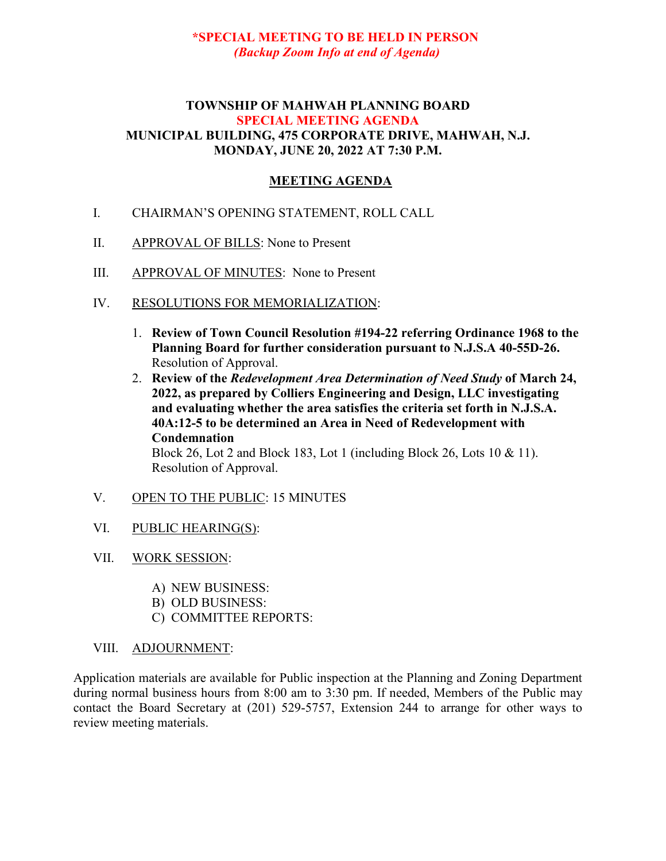## **\*SPECIAL MEETING TO BE HELD IN PERSON** *(Backup Zoom Info at end of Agenda)*

#### **TOWNSHIP OF MAHWAH PLANNING BOARD SPECIAL MEETING AGENDA MUNICIPAL BUILDING, 475 CORPORATE DRIVE, MAHWAH, N.J. MONDAY, JUNE 20, 2022 AT 7:30 P.M.**

## **MEETING AGENDA**

- I. CHAIRMAN'S OPENING STATEMENT, ROLL CALL
- II. APPROVAL OF BILLS: None to Present
- III. APPROVAL OF MINUTES: None to Present
- IV. RESOLUTIONS FOR MEMORIALIZATION:
	- 1. **Review of Town Council Resolution #194-22 referring Ordinance 1968 to the Planning Board for further consideration pursuant to N.J.S.A 40-55D-26.** Resolution of Approval.
	- 2. **Review of the** *Redevelopment Area Determination of Need Study* **of March 24, 2022, as prepared by Colliers Engineering and Design, LLC investigating and evaluating whether the area satisfies the criteria set forth in N.J.S.A. 40A:12-5 to be determined an Area in Need of Redevelopment with Condemnation** Block 26, Lot 2 and Block 183, Lot 1 (including Block 26, Lots 10 & 11).

Resolution of Approval.

#### V. OPEN TO THE PUBLIC: 15 MINUTES

- VI. PUBLIC HEARING(S):
- VII. WORK SESSION:
	- A) NEW BUSINESS:
	- B) OLD BUSINESS:
	- C) COMMITTEE REPORTS:
- VIII. ADJOURNMENT:

Application materials are available for Public inspection at the Planning and Zoning Department during normal business hours from 8:00 am to 3:30 pm. If needed, Members of the Public may contact the Board Secretary at (201) 529-5757, Extension 244 to arrange for other ways to review meeting materials.